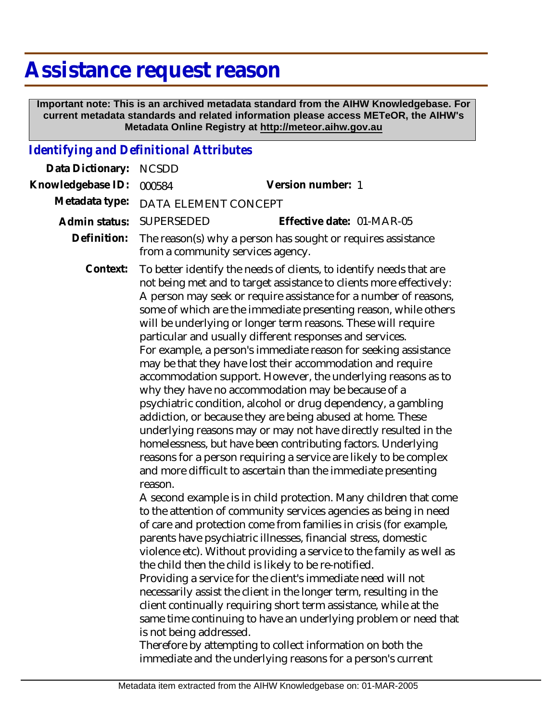## **Assistance request reason**

 **Important note: This is an archived metadata standard from the AIHW Knowledgebase. For current metadata standards and related information please access METeOR, the AIHW's Metadata Online Registry at http://meteor.aihw.gov.au**

## *Identifying and Definitional Attributes*

| Data Dictionary:  | <b>NCSDD</b>                                                                                                                                                                                                                                                                                                                                                                                                                                                                                                                                                                                                                                                                                                                                                                                                                                                                                                                                                                                                                                                                             |                                                                                                                                                                                                                                                                                                                                                                                                                                                                                                                                                                                                                                                                                                |
|-------------------|------------------------------------------------------------------------------------------------------------------------------------------------------------------------------------------------------------------------------------------------------------------------------------------------------------------------------------------------------------------------------------------------------------------------------------------------------------------------------------------------------------------------------------------------------------------------------------------------------------------------------------------------------------------------------------------------------------------------------------------------------------------------------------------------------------------------------------------------------------------------------------------------------------------------------------------------------------------------------------------------------------------------------------------------------------------------------------------|------------------------------------------------------------------------------------------------------------------------------------------------------------------------------------------------------------------------------------------------------------------------------------------------------------------------------------------------------------------------------------------------------------------------------------------------------------------------------------------------------------------------------------------------------------------------------------------------------------------------------------------------------------------------------------------------|
| Knowledgebase ID: | 000584                                                                                                                                                                                                                                                                                                                                                                                                                                                                                                                                                                                                                                                                                                                                                                                                                                                                                                                                                                                                                                                                                   | Version number: 1                                                                                                                                                                                                                                                                                                                                                                                                                                                                                                                                                                                                                                                                              |
| Metadata type:    | DATA ELEMENT CONCEPT                                                                                                                                                                                                                                                                                                                                                                                                                                                                                                                                                                                                                                                                                                                                                                                                                                                                                                                                                                                                                                                                     |                                                                                                                                                                                                                                                                                                                                                                                                                                                                                                                                                                                                                                                                                                |
| Admin status:     | <b>SUPERSEDED</b>                                                                                                                                                                                                                                                                                                                                                                                                                                                                                                                                                                                                                                                                                                                                                                                                                                                                                                                                                                                                                                                                        | Effective date: 01-MAR-05                                                                                                                                                                                                                                                                                                                                                                                                                                                                                                                                                                                                                                                                      |
| Definition:       | The reason(s) why a person has sought or requires assistance<br>from a community services agency.                                                                                                                                                                                                                                                                                                                                                                                                                                                                                                                                                                                                                                                                                                                                                                                                                                                                                                                                                                                        |                                                                                                                                                                                                                                                                                                                                                                                                                                                                                                                                                                                                                                                                                                |
| Context:          | To better identify the needs of clients, to identify needs that are<br>not being met and to target assistance to clients more effectively:<br>A person may seek or require assistance for a number of reasons,<br>some of which are the immediate presenting reason, while others<br>will be underlying or longer term reasons. These will require<br>particular and usually different responses and services.<br>For example, a person's immediate reason for seeking assistance<br>may be that they have lost their accommodation and require<br>accommodation support. However, the underlying reasons as to<br>why they have no accommodation may be because of a<br>psychiatric condition, alcohol or drug dependency, a gambling<br>addiction, or because they are being abused at home. These<br>underlying reasons may or may not have directly resulted in the<br>homelessness, but have been contributing factors. Underlying<br>reasons for a person requiring a service are likely to be complex<br>and more difficult to ascertain than the immediate presenting<br>reason. |                                                                                                                                                                                                                                                                                                                                                                                                                                                                                                                                                                                                                                                                                                |
|                   | the child then the child is likely to be re-notified.<br>is not being addressed.<br>Therefore by attempting to collect information on both the                                                                                                                                                                                                                                                                                                                                                                                                                                                                                                                                                                                                                                                                                                                                                                                                                                                                                                                                           | A second example is in child protection. Many children that come<br>to the attention of community services agencies as being in need<br>of care and protection come from families in crisis (for example,<br>parents have psychiatric illnesses, financial stress, domestic<br>violence etc). Without providing a service to the family as well as<br>Providing a service for the client's immediate need will not<br>necessarily assist the client in the longer term, resulting in the<br>client continually requiring short term assistance, while at the<br>same time continuing to have an underlying problem or need that<br>immediate and the underlying reasons for a person's current |